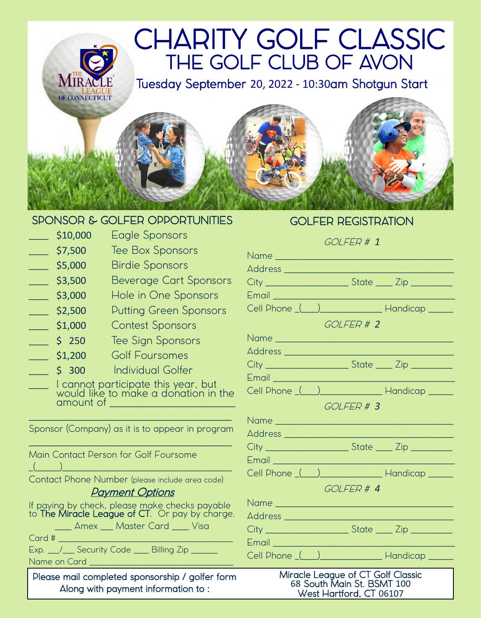# L CHARITY GOLF CLASSIC THE GOLF CLUB OF AVON

Tuesday September 20, 2022 - 10:30am Shotgun Start



## SPONSOR & GOLFER OPPORTUNITIES

 $\frac{1}{2}$ \$10,000 Eagle Sponsors

**MIR** 

- **S7,500** Tee Box Sponsors
- S5,000 Birdie Sponsors
- 53,500 Beverage Cart Sponsors
- 53,000 Hole in One Sponsors
- **\_\_\_\_ \$2,500** Putting Green Sponsors
- \_\_\_\_ \$1,000 Contest Sponsors
- 5 250 Tee Sign Sponsors
- \_\_\_\_ \$1,200 Golf Foursomes
- 5 300 Individual Golfer
- \_\_\_\_ I cannot participate this year, but would like to make a donation in the amount of \_\_\_\_\_\_\_\_\_\_\_\_\_\_\_\_\_\_\_\_\_\_\_\_\_\_

 $\_$  , and the set of the set of the set of the set of the set of the set of the set of the set of the set of the set of the set of the set of the set of the set of the set of the set of the set of the set of the set of th

| Sponsor (Company) as it is to appear in program                                                  |
|--------------------------------------------------------------------------------------------------|
| Main Contact Person for Golf Foursome                                                            |
| Contact Phone Number (please include area code)                                                  |
| <b>Payment Options</b>                                                                           |
| If paying by check, please make checks payable<br>to The Miracle League of CT. Or pay by charge. |
| ____ Amex ___ Master Card ____ Visa                                                              |
| Card #                                                                                           |
| Exp. 11 Security Code 10 Billing Zip 11 Security Code                                            |
| Name on Card                                                                                     |

Please mail completed sponsorship / golfer form Along with payment information to :

# GOLFER REGISTRATION

#### GOLFER # *1*

| Email 2008 - 2009 - 2010 - 2010 - 2010 - 2011 - 2011 - 2011 - 2011 - 2011 - 2011 - 2011 - 2011 - 2011 - 2011 - |                                                             |  |
|----------------------------------------------------------------------------------------------------------------|-------------------------------------------------------------|--|
|                                                                                                                | Cell Phone ( ) Handicap _____                               |  |
| GOLFER # 2                                                                                                     |                                                             |  |
|                                                                                                                |                                                             |  |
|                                                                                                                |                                                             |  |
|                                                                                                                |                                                             |  |
|                                                                                                                |                                                             |  |
|                                                                                                                | Cell Phone ( ) Handicap ____                                |  |
|                                                                                                                | GOLFER # 3                                                  |  |
|                                                                                                                |                                                             |  |
|                                                                                                                |                                                             |  |
|                                                                                                                | City __________________________State ______ Zip ___________ |  |
| Email <b>Email and Company of the Company of The Company</b>                                                   |                                                             |  |
|                                                                                                                | Cell Phone ( ) Handicap _____                               |  |
|                                                                                                                | GOLFFR#4                                                    |  |
|                                                                                                                |                                                             |  |
|                                                                                                                |                                                             |  |
|                                                                                                                | City ________________________State _____ Zip __________     |  |
|                                                                                                                |                                                             |  |
|                                                                                                                | Cell Phone ( ) Handicap _____                               |  |
| Miracle League of CT Golf Classic<br>68 South Main St. BSMT 100                                                |                                                             |  |

West Hartford, CT 06107